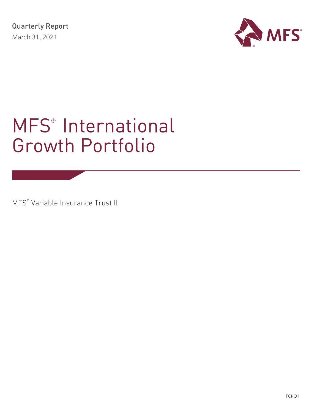Quarterly Report March 31, 2021



# MFS<sup>®</sup> International Growth Portfolio

MFS® Variable Insurance Trust II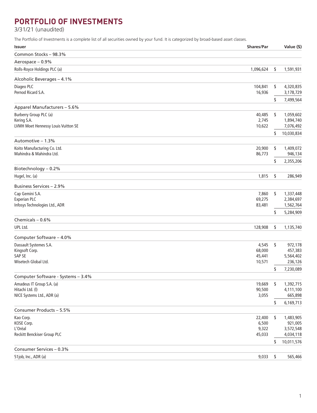## **PORTFOLIO OF INVESTMENTS**

3/31/21 (unaudited)

The Portfolio of Investments is a complete list of all securities owned by your fund. It is categorized by broad-based asset classes.

| <b>Issuer</b>                                      | <b>Shares/Par</b> |            | Value (\$)             |
|----------------------------------------------------|-------------------|------------|------------------------|
| Common Stocks - 98.3%                              |                   |            |                        |
| Aerospace - 0.9%                                   |                   |            |                        |
| Rolls-Royce Holdings PLC (a)                       | 1,096,624         | \$         | 1,591,931              |
| Alcoholic Beverages - 4.1%                         |                   |            |                        |
| Diageo PLC                                         | 104,841           | \$         | 4,320,835              |
| Pernod Ricard S.A.                                 | 16,936            |            | 3,178,729              |
|                                                    |                   | \$         | 7,499,564              |
| Apparel Manufacturers - 5.6%                       |                   |            |                        |
| Burberry Group PLC (a)                             | 40,485            | \$         | 1,059,602              |
| Kering S.A.<br>LVMH Moet Hennessy Louis Vuitton SE | 2,745<br>10,622   |            | 1,894,740<br>7,076,492 |
|                                                    |                   | \$         | 10,030,834             |
| Automotive - 1.3%                                  |                   |            |                        |
| Koito Manufacturing Co. Ltd.                       | 20,900            | \$         | 1,409,072              |
| Mahindra & Mahindra Ltd.                           | 86,773            |            | 946,134                |
|                                                    |                   | \$         | 2,355,206              |
| Biotechnology - 0.2%                               |                   |            |                        |
| Hugel, Inc. (a)                                    | 1,815             | \$         | 286,949                |
| <b>Business Services - 2.9%</b>                    |                   |            |                        |
| Cap Gemini S.A.                                    | 7,860             | \$         | 1,337,448              |
| <b>Experian PLC</b>                                | 69,275            |            | 2,384,697              |
| Infosys Technologies Ltd., ADR                     | 83,481            | \$         | 1,562,764<br>5,284,909 |
| Chemicals $-0.6%$                                  |                   |            |                        |
| UPL Ltd.                                           | 128,908           | \$         | 1,135,740              |
| Computer Software - 4.0%                           |                   |            |                        |
| Dassault Systemes S.A.                             | 4,545             | \$         | 972,178                |
| Kingsoft Corp.                                     | 68,000            |            | 457,383                |
| SAP SE                                             | 45,441            |            | 5,564,402              |
| Wisetech Global Ltd.                               | 10,571            |            | 236,126                |
| Computer Software - Systems - 3.4%                 |                   | \$         | 7,230,089              |
| Amadeus IT Group S.A. (a)                          | 19,669            | $\sqrt{2}$ | 1,392,715              |
| Hitachi Ltd. (I)                                   | 90,500            |            | 4,111,100              |
| NICE Systems Ltd., ADR (a)                         | 3,055             |            | 665,898                |
|                                                    |                   | \$         | 6,169,713              |
| Consumer Products - 5.5%                           |                   |            |                        |
| Kao Corp.                                          | 22,400            | \$         | 1,483,905              |
| KOSE Corp.<br>L'Oréal                              | 6,500             |            | 921,005                |
| Reckitt Benckiser Group PLC                        | 9,322<br>45,033   |            | 3,572,548<br>4,034,118 |
|                                                    |                   | \$         | 10,011,576             |
| Consumer Services - 0.3%                           |                   |            |                        |
| 51job, Inc., ADR (a)                               | 9,033             | $\sqrt{2}$ | 565,466                |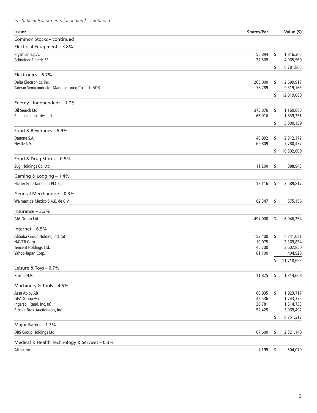*Portfolio of Investments (unaudited) – continued*

| <b>Issuer</b>                                                               | <b>Shares/Par</b> |            | Value (\$)             |
|-----------------------------------------------------------------------------|-------------------|------------|------------------------|
| Common Stocks - continued                                                   |                   |            |                        |
| Electrical Equipment - 3.8%                                                 |                   |            |                        |
| Prysmian S.p.A.                                                             | 55,894            | \$         | 1,816,305              |
| Schneider Electric SE                                                       | 32,509            |            | 4,965,560              |
|                                                                             |                   | \$         | 6,781,865              |
| Electronics $-6.7%$                                                         |                   |            |                        |
| Delta Electronics, Inc.<br>Taiwan Semiconductor Manufacturing Co. Ltd., ADR | 265,000<br>78,789 | \$         | 2,699,917<br>9,319,163 |
|                                                                             |                   | S          | 12,019,080             |
| Energy - Independent - 1.7%                                                 |                   |            |                        |
| Oil Search Ltd.                                                             | 373,876           | \$         | 1,160,888              |
| Reliance Industries Ltd.                                                    | 66,916            |            | 1,839,251              |
|                                                                             |                   | \$         | 3,000,139              |
| Food & Beverages - 5.9%                                                     |                   |            |                        |
| Danone S.A.                                                                 | 40,992            | \$         | 2,812,172              |
| Nestle S.A.                                                                 | 69,809            |            | 7,780,437              |
|                                                                             |                   | \$         | 10,592,609             |
| Food & Drug Stores - 0.5%                                                   |                   |            |                        |
| Sugi Holdings Co. Ltd.                                                      | 11,200            | \$         | 888,943                |
| Gaming & Lodging - 1.4%                                                     |                   |            |                        |
| Flutter Entertainment PLC (a)                                               | 12,116            | \$         | 2,589,817              |
| General Merchandise - 0.3%                                                  |                   |            |                        |
| Walmart de Mexico S.A.B. de C.V.                                            | 182,347           | \$         | 575,156                |
| Insurance $-3.3%$                                                           |                   |            |                        |
| AIA Group Ltd.                                                              | 497,000           | \$         | 6,046,254              |
| Internet $-6.5%$                                                            |                   |            |                        |
| Alibaba Group Holding Ltd. (a)                                              | 153,400           | \$         | 4,341,081              |
| NAVER Corp.                                                                 | 10,075            |            | 3,369,834              |
| Tencent Holdings Ltd.                                                       | 45,700            |            | 3,602,850              |
| Yahoo Japan Corp.                                                           | 81,100            |            | 404,928                |
| Leisure & Toys - 0.7%                                                       |                   | \$         | 11,718,693             |
| Prosus N.V.                                                                 | 11,825            | \$         | 1,314,608              |
| Machinery & Tools - 4.6%                                                    |                   |            |                        |
| Assa Abloy AB                                                               | 66,935            | \$         | 1,923,717              |
| <b>GEA Group AG</b>                                                         | 42,536            |            | 1,743,375              |
| Ingersoll Rand, Inc. (a)                                                    | 30,781            |            | 1,514,733              |
| Ritchie Bros. Auctioneers, Inc.                                             | 52,425            |            | 3,069,492              |
|                                                                             |                   | \$         | 8,251,317              |
| Major Banks - 1.3%                                                          |                   |            |                        |
| DBS Group Holdings Ltd.                                                     | 107,600           | \$         | 2,321,140              |
| Medical & Health Technology & Services - 0.3%                               |                   |            |                        |
| Alcon, Inc.                                                                 | 7,199             | $\sqrt{2}$ | 504,079                |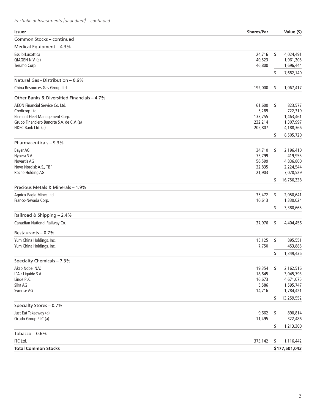### *Portfolio of Investments (unaudited) – continued*

| Common Stocks - continued<br>Medical Equipment - 4.3%<br>EssilorLuxottica<br>24,716<br>\$<br>4,024,491<br>QIAGEN N.V. (a)<br>40,523<br>1,961,205<br>Terumo Corp.<br>46,800<br>1,696,444<br>7,682,140<br>\$<br>Natural Gas - Distribution - 0.6%<br>192,000<br>\$<br>1,067,417<br>China Resources Gas Group Ltd.<br>Other Banks & Diversified Financials - 4.7%<br><b>AEON Financial Service Co. Ltd.</b><br>61,600<br>\$<br>823,577<br>Credicorp Ltd.<br>5,289<br>722,319<br>Element Fleet Management Corp.<br>133,755<br>1,463,461<br>Grupo Financiero Banorte S.A. de C.V. (a)<br>232,214<br>1,307,997<br>HDFC Bank Ltd. (a)<br>205,807<br>4,188,366<br>8,505,720<br>\$<br>Pharmaceuticals - 9.3%<br>Bayer AG<br>34,710<br>\$<br>2,196,410<br>73,799<br>Hypera S.A.<br>419,955<br>56,599<br>Novartis AG<br>4,836,800<br>Novo Nordisk A.S., "B"<br>32,835<br>2,224,544<br>Roche Holding AG<br>21,903<br>7,078,529<br>16,756,238<br>\$<br>Precious Metals & Minerals - 1.9%<br>Agnico-Eagle Mines Ltd.<br>35,472<br>\$<br>2,050,641<br>Franco-Nevada Corp.<br>10,613<br>1,330,024<br>\$<br>3,380,665<br>Railroad & Shipping - 2.4%<br>Canadian National Railway Co.<br>37,976<br>\$<br>4,404,456<br>Restaurants $-0.7%$<br>\$<br>Yum China Holdings, Inc.<br>15,125<br>895,551<br>Yum China Holdings, Inc.<br>7,750<br>453,885<br>\$<br>1,349,436<br>Specialty Chemicals - 7.3%<br>Akzo Nobel N.V.<br>19,354<br>\$<br>2,162,516<br>L'Air Liquide S.A.<br>18,645<br>3,045,793<br>Linde PLC<br>16,673<br>4,671,075<br>Sika AG<br>5,586<br>Symrise AG<br>14,716<br>1,784,421<br>13,259,552<br>\$<br>Specialty Stores - 0.7%<br>Just Eat Takeaway (a)<br>9,662<br>\$<br>890,814<br>Ocado Group PLC (a)<br>11,495<br>322,486<br>\$<br>1,213,300<br>Tobacco $-0.6%$<br>ITC Ltd.<br>373,142<br>\$<br>1,116,442<br><b>Total Common Stocks</b> | <b>Issuer</b> | <b>Shares/Par</b> | Value (\$) |
|---------------------------------------------------------------------------------------------------------------------------------------------------------------------------------------------------------------------------------------------------------------------------------------------------------------------------------------------------------------------------------------------------------------------------------------------------------------------------------------------------------------------------------------------------------------------------------------------------------------------------------------------------------------------------------------------------------------------------------------------------------------------------------------------------------------------------------------------------------------------------------------------------------------------------------------------------------------------------------------------------------------------------------------------------------------------------------------------------------------------------------------------------------------------------------------------------------------------------------------------------------------------------------------------------------------------------------------------------------------------------------------------------------------------------------------------------------------------------------------------------------------------------------------------------------------------------------------------------------------------------------------------------------------------------------------------------------------------------------------------------------------------------------------------------------------------------------------|---------------|-------------------|------------|
|                                                                                                                                                                                                                                                                                                                                                                                                                                                                                                                                                                                                                                                                                                                                                                                                                                                                                                                                                                                                                                                                                                                                                                                                                                                                                                                                                                                                                                                                                                                                                                                                                                                                                                                                                                                                                                       |               |                   |            |
|                                                                                                                                                                                                                                                                                                                                                                                                                                                                                                                                                                                                                                                                                                                                                                                                                                                                                                                                                                                                                                                                                                                                                                                                                                                                                                                                                                                                                                                                                                                                                                                                                                                                                                                                                                                                                                       |               |                   |            |
|                                                                                                                                                                                                                                                                                                                                                                                                                                                                                                                                                                                                                                                                                                                                                                                                                                                                                                                                                                                                                                                                                                                                                                                                                                                                                                                                                                                                                                                                                                                                                                                                                                                                                                                                                                                                                                       |               |                   |            |
|                                                                                                                                                                                                                                                                                                                                                                                                                                                                                                                                                                                                                                                                                                                                                                                                                                                                                                                                                                                                                                                                                                                                                                                                                                                                                                                                                                                                                                                                                                                                                                                                                                                                                                                                                                                                                                       |               |                   |            |
|                                                                                                                                                                                                                                                                                                                                                                                                                                                                                                                                                                                                                                                                                                                                                                                                                                                                                                                                                                                                                                                                                                                                                                                                                                                                                                                                                                                                                                                                                                                                                                                                                                                                                                                                                                                                                                       |               |                   |            |
|                                                                                                                                                                                                                                                                                                                                                                                                                                                                                                                                                                                                                                                                                                                                                                                                                                                                                                                                                                                                                                                                                                                                                                                                                                                                                                                                                                                                                                                                                                                                                                                                                                                                                                                                                                                                                                       |               |                   |            |
|                                                                                                                                                                                                                                                                                                                                                                                                                                                                                                                                                                                                                                                                                                                                                                                                                                                                                                                                                                                                                                                                                                                                                                                                                                                                                                                                                                                                                                                                                                                                                                                                                                                                                                                                                                                                                                       |               |                   |            |
|                                                                                                                                                                                                                                                                                                                                                                                                                                                                                                                                                                                                                                                                                                                                                                                                                                                                                                                                                                                                                                                                                                                                                                                                                                                                                                                                                                                                                                                                                                                                                                                                                                                                                                                                                                                                                                       |               |                   |            |
|                                                                                                                                                                                                                                                                                                                                                                                                                                                                                                                                                                                                                                                                                                                                                                                                                                                                                                                                                                                                                                                                                                                                                                                                                                                                                                                                                                                                                                                                                                                                                                                                                                                                                                                                                                                                                                       |               |                   |            |
|                                                                                                                                                                                                                                                                                                                                                                                                                                                                                                                                                                                                                                                                                                                                                                                                                                                                                                                                                                                                                                                                                                                                                                                                                                                                                                                                                                                                                                                                                                                                                                                                                                                                                                                                                                                                                                       |               |                   |            |
|                                                                                                                                                                                                                                                                                                                                                                                                                                                                                                                                                                                                                                                                                                                                                                                                                                                                                                                                                                                                                                                                                                                                                                                                                                                                                                                                                                                                                                                                                                                                                                                                                                                                                                                                                                                                                                       |               |                   |            |
|                                                                                                                                                                                                                                                                                                                                                                                                                                                                                                                                                                                                                                                                                                                                                                                                                                                                                                                                                                                                                                                                                                                                                                                                                                                                                                                                                                                                                                                                                                                                                                                                                                                                                                                                                                                                                                       |               |                   |            |
|                                                                                                                                                                                                                                                                                                                                                                                                                                                                                                                                                                                                                                                                                                                                                                                                                                                                                                                                                                                                                                                                                                                                                                                                                                                                                                                                                                                                                                                                                                                                                                                                                                                                                                                                                                                                                                       |               |                   |            |
|                                                                                                                                                                                                                                                                                                                                                                                                                                                                                                                                                                                                                                                                                                                                                                                                                                                                                                                                                                                                                                                                                                                                                                                                                                                                                                                                                                                                                                                                                                                                                                                                                                                                                                                                                                                                                                       |               |                   |            |
|                                                                                                                                                                                                                                                                                                                                                                                                                                                                                                                                                                                                                                                                                                                                                                                                                                                                                                                                                                                                                                                                                                                                                                                                                                                                                                                                                                                                                                                                                                                                                                                                                                                                                                                                                                                                                                       |               |                   |            |
|                                                                                                                                                                                                                                                                                                                                                                                                                                                                                                                                                                                                                                                                                                                                                                                                                                                                                                                                                                                                                                                                                                                                                                                                                                                                                                                                                                                                                                                                                                                                                                                                                                                                                                                                                                                                                                       |               |                   |            |
|                                                                                                                                                                                                                                                                                                                                                                                                                                                                                                                                                                                                                                                                                                                                                                                                                                                                                                                                                                                                                                                                                                                                                                                                                                                                                                                                                                                                                                                                                                                                                                                                                                                                                                                                                                                                                                       |               |                   |            |
|                                                                                                                                                                                                                                                                                                                                                                                                                                                                                                                                                                                                                                                                                                                                                                                                                                                                                                                                                                                                                                                                                                                                                                                                                                                                                                                                                                                                                                                                                                                                                                                                                                                                                                                                                                                                                                       |               |                   |            |
|                                                                                                                                                                                                                                                                                                                                                                                                                                                                                                                                                                                                                                                                                                                                                                                                                                                                                                                                                                                                                                                                                                                                                                                                                                                                                                                                                                                                                                                                                                                                                                                                                                                                                                                                                                                                                                       |               |                   |            |
|                                                                                                                                                                                                                                                                                                                                                                                                                                                                                                                                                                                                                                                                                                                                                                                                                                                                                                                                                                                                                                                                                                                                                                                                                                                                                                                                                                                                                                                                                                                                                                                                                                                                                                                                                                                                                                       |               |                   |            |
|                                                                                                                                                                                                                                                                                                                                                                                                                                                                                                                                                                                                                                                                                                                                                                                                                                                                                                                                                                                                                                                                                                                                                                                                                                                                                                                                                                                                                                                                                                                                                                                                                                                                                                                                                                                                                                       |               |                   |            |
|                                                                                                                                                                                                                                                                                                                                                                                                                                                                                                                                                                                                                                                                                                                                                                                                                                                                                                                                                                                                                                                                                                                                                                                                                                                                                                                                                                                                                                                                                                                                                                                                                                                                                                                                                                                                                                       |               |                   |            |
|                                                                                                                                                                                                                                                                                                                                                                                                                                                                                                                                                                                                                                                                                                                                                                                                                                                                                                                                                                                                                                                                                                                                                                                                                                                                                                                                                                                                                                                                                                                                                                                                                                                                                                                                                                                                                                       |               |                   |            |
|                                                                                                                                                                                                                                                                                                                                                                                                                                                                                                                                                                                                                                                                                                                                                                                                                                                                                                                                                                                                                                                                                                                                                                                                                                                                                                                                                                                                                                                                                                                                                                                                                                                                                                                                                                                                                                       |               |                   |            |
|                                                                                                                                                                                                                                                                                                                                                                                                                                                                                                                                                                                                                                                                                                                                                                                                                                                                                                                                                                                                                                                                                                                                                                                                                                                                                                                                                                                                                                                                                                                                                                                                                                                                                                                                                                                                                                       |               |                   |            |
|                                                                                                                                                                                                                                                                                                                                                                                                                                                                                                                                                                                                                                                                                                                                                                                                                                                                                                                                                                                                                                                                                                                                                                                                                                                                                                                                                                                                                                                                                                                                                                                                                                                                                                                                                                                                                                       |               |                   |            |
| 1,595,747<br>\$177,501,043                                                                                                                                                                                                                                                                                                                                                                                                                                                                                                                                                                                                                                                                                                                                                                                                                                                                                                                                                                                                                                                                                                                                                                                                                                                                                                                                                                                                                                                                                                                                                                                                                                                                                                                                                                                                            |               |                   |            |
|                                                                                                                                                                                                                                                                                                                                                                                                                                                                                                                                                                                                                                                                                                                                                                                                                                                                                                                                                                                                                                                                                                                                                                                                                                                                                                                                                                                                                                                                                                                                                                                                                                                                                                                                                                                                                                       |               |                   |            |
|                                                                                                                                                                                                                                                                                                                                                                                                                                                                                                                                                                                                                                                                                                                                                                                                                                                                                                                                                                                                                                                                                                                                                                                                                                                                                                                                                                                                                                                                                                                                                                                                                                                                                                                                                                                                                                       |               |                   |            |
|                                                                                                                                                                                                                                                                                                                                                                                                                                                                                                                                                                                                                                                                                                                                                                                                                                                                                                                                                                                                                                                                                                                                                                                                                                                                                                                                                                                                                                                                                                                                                                                                                                                                                                                                                                                                                                       |               |                   |            |
|                                                                                                                                                                                                                                                                                                                                                                                                                                                                                                                                                                                                                                                                                                                                                                                                                                                                                                                                                                                                                                                                                                                                                                                                                                                                                                                                                                                                                                                                                                                                                                                                                                                                                                                                                                                                                                       |               |                   |            |
|                                                                                                                                                                                                                                                                                                                                                                                                                                                                                                                                                                                                                                                                                                                                                                                                                                                                                                                                                                                                                                                                                                                                                                                                                                                                                                                                                                                                                                                                                                                                                                                                                                                                                                                                                                                                                                       |               |                   |            |
|                                                                                                                                                                                                                                                                                                                                                                                                                                                                                                                                                                                                                                                                                                                                                                                                                                                                                                                                                                                                                                                                                                                                                                                                                                                                                                                                                                                                                                                                                                                                                                                                                                                                                                                                                                                                                                       |               |                   |            |
|                                                                                                                                                                                                                                                                                                                                                                                                                                                                                                                                                                                                                                                                                                                                                                                                                                                                                                                                                                                                                                                                                                                                                                                                                                                                                                                                                                                                                                                                                                                                                                                                                                                                                                                                                                                                                                       |               |                   |            |
|                                                                                                                                                                                                                                                                                                                                                                                                                                                                                                                                                                                                                                                                                                                                                                                                                                                                                                                                                                                                                                                                                                                                                                                                                                                                                                                                                                                                                                                                                                                                                                                                                                                                                                                                                                                                                                       |               |                   |            |
|                                                                                                                                                                                                                                                                                                                                                                                                                                                                                                                                                                                                                                                                                                                                                                                                                                                                                                                                                                                                                                                                                                                                                                                                                                                                                                                                                                                                                                                                                                                                                                                                                                                                                                                                                                                                                                       |               |                   |            |
|                                                                                                                                                                                                                                                                                                                                                                                                                                                                                                                                                                                                                                                                                                                                                                                                                                                                                                                                                                                                                                                                                                                                                                                                                                                                                                                                                                                                                                                                                                                                                                                                                                                                                                                                                                                                                                       |               |                   |            |
|                                                                                                                                                                                                                                                                                                                                                                                                                                                                                                                                                                                                                                                                                                                                                                                                                                                                                                                                                                                                                                                                                                                                                                                                                                                                                                                                                                                                                                                                                                                                                                                                                                                                                                                                                                                                                                       |               |                   |            |
|                                                                                                                                                                                                                                                                                                                                                                                                                                                                                                                                                                                                                                                                                                                                                                                                                                                                                                                                                                                                                                                                                                                                                                                                                                                                                                                                                                                                                                                                                                                                                                                                                                                                                                                                                                                                                                       |               |                   |            |
|                                                                                                                                                                                                                                                                                                                                                                                                                                                                                                                                                                                                                                                                                                                                                                                                                                                                                                                                                                                                                                                                                                                                                                                                                                                                                                                                                                                                                                                                                                                                                                                                                                                                                                                                                                                                                                       |               |                   |            |
|                                                                                                                                                                                                                                                                                                                                                                                                                                                                                                                                                                                                                                                                                                                                                                                                                                                                                                                                                                                                                                                                                                                                                                                                                                                                                                                                                                                                                                                                                                                                                                                                                                                                                                                                                                                                                                       |               |                   |            |
|                                                                                                                                                                                                                                                                                                                                                                                                                                                                                                                                                                                                                                                                                                                                                                                                                                                                                                                                                                                                                                                                                                                                                                                                                                                                                                                                                                                                                                                                                                                                                                                                                                                                                                                                                                                                                                       |               |                   |            |
|                                                                                                                                                                                                                                                                                                                                                                                                                                                                                                                                                                                                                                                                                                                                                                                                                                                                                                                                                                                                                                                                                                                                                                                                                                                                                                                                                                                                                                                                                                                                                                                                                                                                                                                                                                                                                                       |               |                   |            |
|                                                                                                                                                                                                                                                                                                                                                                                                                                                                                                                                                                                                                                                                                                                                                                                                                                                                                                                                                                                                                                                                                                                                                                                                                                                                                                                                                                                                                                                                                                                                                                                                                                                                                                                                                                                                                                       |               |                   |            |
|                                                                                                                                                                                                                                                                                                                                                                                                                                                                                                                                                                                                                                                                                                                                                                                                                                                                                                                                                                                                                                                                                                                                                                                                                                                                                                                                                                                                                                                                                                                                                                                                                                                                                                                                                                                                                                       |               |                   |            |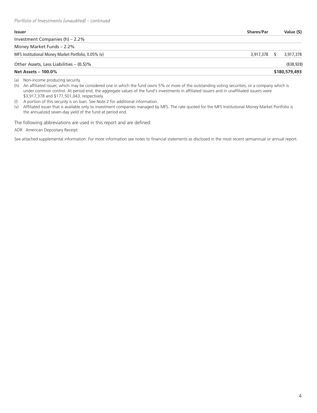| Issuer                                              | <b>Shares/Par</b> | Value (\$) |
|-----------------------------------------------------|-------------------|------------|
| Investment Companies (h) – 2.2%                     |                   |            |
| Money Market Funds – 2.2%                           |                   |            |
| MFS Institutional Money Market Portfolio, 0.05% (v) | 3,917,378 \$      | 3.917.378  |
|                                                     |                   |            |

#### Other Assets, Less Liabilities – (0.5)% (838,928)

#### **Net Assets – 100.0% \$180,579,493**

(a) Non-income producing security.

(h) An affiliated issuer, which may be considered one in which the fund owns 5% or more of the outstanding voting securities, or a company which is under common control. At period end, the aggregate values of the fund's investments in affiliated issuers and in unaffiliated issuers were \$3,917,378 and \$177,501,043, respectively.

(l) A portion of this security is on loan. See Note 2 for additional information.

(v) Affiliated issuer that is available only to investment companies managed by MFS. The rate quoted for the MFS Institutional Money Market Portfolio is the annualized seven-day yield of the fund at period end.

The following abbreviations are used in this report and are defined:

ADR American Depositary Receipt

See attached supplemental information. For more information see notes to financial statements as disclosed in the most recent semiannual or annual report.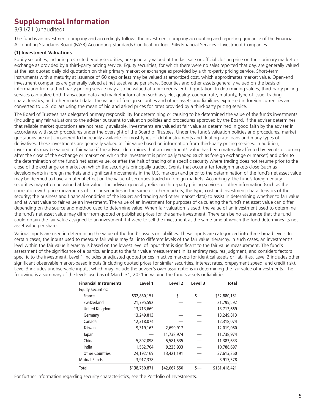## **Supplemental Information**

3/31/21 (unaudited)

The fund is an investment company and accordingly follows the investment company accounting and reporting guidance of the Financial Accounting Standards Board (FASB) Accounting Standards Codification Topic 946 Financial Services - Investment Companies.

#### **(1) Investment Valuations**

Equity securities, including restricted equity securities, are generally valued at the last sale or official closing price on their primary market or exchange as provided by a third-party pricing service. Equity securities, for which there were no sales reported that day, are generally valued at the last quoted daily bid quotation on their primary market or exchange as provided by a third-party pricing service. Short-term instruments with a maturity at issuance of 60 days or less may be valued at amortized cost, which approximates market value. Open-end investment companies are generally valued at net asset value per share. Securities and other assets generally valued on the basis of information from a third-party pricing service may also be valued at a broker/dealer bid quotation. In determining values, third-party pricing services can utilize both transaction data and market information such as yield, quality, coupon rate, maturity, type of issue, trading characteristics, and other market data. The values of foreign securities and other assets and liabilities expressed in foreign currencies are converted to U.S. dollars using the mean of bid and asked prices for rates provided by a third-party pricing service.

The Board of Trustees has delegated primary responsibility for determining or causing to be determined the value of the fund's investments (including any fair valuation) to the adviser pursuant to valuation policies and procedures approved by the Board. If the adviser determines that reliable market quotations are not readily available, investments are valued at fair value as determined in good faith by the adviser in accordance with such procedures under the oversight of the Board of Trustees. Under the fund's valuation policies and procedures, market quotations are not considered to be readily available for most types of debt instruments and floating rate loans and many types of derivatives. These investments are generally valued at fair value based on information from third-party pricing services. In addition, investments may be valued at fair value if the adviser determines that an investment's value has been materially affected by events occurring after the close of the exchange or market on which the investment is principally traded (such as foreign exchange or market) and prior to the determination of the fund's net asset value, or after the halt of trading of a specific security where trading does not resume prior to the close of the exchange or market on which the security is principally traded. Events that occur after foreign markets close (such as developments in foreign markets and significant movements in the U.S. markets) and prior to the determination of the fund's net asset value may be deemed to have a material effect on the value of securities traded in foreign markets. Accordingly, the fund's foreign equity securities may often be valued at fair value. The adviser generally relies on third-party pricing services or other information (such as the correlation with price movements of similar securities in the same or other markets; the type, cost and investment characteristics of the security; the business and financial condition of the issuer; and trading and other market data) to assist in determining whether to fair value and at what value to fair value an investment. The value of an investment for purposes of calculating the fund's net asset value can differ depending on the source and method used to determine value. When fair valuation is used, the value of an investment used to determine the fund's net asset value may differ from quoted or published prices for the same investment. There can be no assurance that the fund could obtain the fair value assigned to an investment if it were to sell the investment at the same time at which the fund determines its net asset value per share.

Various inputs are used in determining the value of the fund's assets or liabilities. These inputs are categorized into three broad levels. In certain cases, the inputs used to measure fair value may fall into different levels of the fair value hierarchy. In such cases, an investment's level within the fair value hierarchy is based on the lowest level of input that is significant to the fair value measurement. The fund's assessment of the significance of a particular input to the fair value measurement in its entirety requires judgment, and considers factors specific to the investment. Level 1 includes unadjusted quoted prices in active markets for identical assets or liabilities. Level 2 includes other significant observable market-based inputs (including quoted prices for similar securities, interest rates, prepayment speed, and credit risk). Level 3 includes unobservable inputs, which may include the adviser's own assumptions in determining the fair value of investments. The following is a summary of the levels used as of March 31, 2021 in valuing the fund's assets or liabilities:

| <b>Financial Instruments</b> | Level 1       | Level <sub>2</sub> | Level 3 | <b>Total</b>  |
|------------------------------|---------------|--------------------|---------|---------------|
| <b>Equity Securities:</b>    |               |                    |         |               |
| France                       | \$32,880,151  |                    | s—      | \$32,880,151  |
| Switzerland                  | 21,795,592    |                    |         | 21,795,592    |
| <b>United Kingdom</b>        | 13,713,669    |                    |         | 13,713,669    |
| Germany                      | 13,249,813    |                    |         | 13,249,813    |
| Canada                       | 12,318,074    |                    |         | 12,318,074    |
| Taiwan                       | 9,319,163     | 2,699,917          |         | 12.019.080    |
| Japan                        |               | 11,738,974         |         | 11,738,974    |
| China                        | 5,802,098     | 5,581,535          |         | 11,383,633    |
| India                        | 1,562,764     | 9,225,933          |         | 10,788,697    |
| <b>Other Countries</b>       | 24,192,169    | 13,421,191         |         | 37,613,360    |
| <b>Mutual Funds</b>          | 3,917,378     |                    |         | 3,917,378     |
| Total                        | \$138,750,871 | \$42,667,550       |         | \$181,418,421 |

For further information regarding security characteristics, see the Portfolio of Investments.